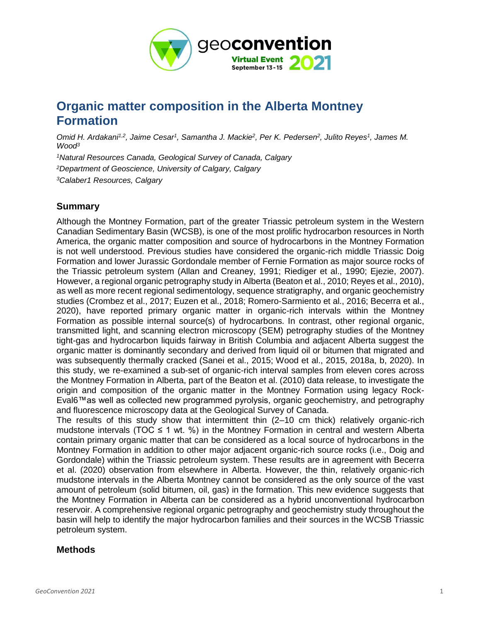

# **Organic matter composition in the Alberta Montney Formation**

Omid H. Ardakani<sup>1,2</sup>, Jaime Cesar<sup>1</sup>, Samantha J. Mackie<sup>2</sup>, Per K. Pedersen<sup>2</sup>, Julito Reyes<sup>1</sup>, James M. *Wood<sup>3</sup>*

*<sup>1</sup>Natural Resources Canada, Geological Survey of Canada, Calgary <sup>2</sup>Department of Geoscience, University of Calgary, Calgary <sup>3</sup>Calaber1 Resources, Calgary*

# **Summary**

Although the Montney Formation, part of the greater Triassic petroleum system in the Western Canadian Sedimentary Basin (WCSB), is one of the most prolific hydrocarbon resources in North America, the organic matter composition and source of hydrocarbons in the Montney Formation is not well understood. Previous studies have considered the organic-rich middle Triassic Doig Formation and lower Jurassic Gordondale member of Fernie Formation as major source rocks of the Triassic petroleum system (Allan and Creaney, 1991; Riediger et al., 1990; Ejezie, 2007). However, a regional organic petrography study in Alberta (Beaton et al., 2010; Reyes et al., 2010), as well as more recent regional sedimentology, sequence stratigraphy, and organic geochemistry studies (Crombez et al., 2017; Euzen et al., 2018; Romero-Sarmiento et al., 2016; Becerra et al., 2020), have reported primary organic matter in organic-rich intervals within the Montney Formation as possible internal source(s) of hydrocarbons. In contrast, other regional organic, transmitted light, and scanning electron microscopy (SEM) petrography studies of the Montney tight-gas and hydrocarbon liquids fairway in British Columbia and adjacent Alberta suggest the organic matter is dominantly secondary and derived from liquid oil or bitumen that migrated and was subsequently thermally cracked (Sanei et al., 2015; Wood et al., 2015, 2018a, b, 2020). In this study, we re-examined a sub-set of organic-rich interval samples from eleven cores across the Montney Formation in Alberta, part of the Beaton et al. (2010) data release, to investigate the origin and composition of the organic matter in the Montney Formation using legacy Rock-Eval6™as well as collected new programmed pyrolysis, organic geochemistry, and petrography and fluorescence microscopy data at the Geological Survey of Canada.

The results of this study show that intermittent thin (2–10 cm thick) relatively organic-rich mudstone intervals (TOC  $\leq$  1 wt. %) in the Montney Formation in central and western Alberta contain primary organic matter that can be considered as a local source of hydrocarbons in the Montney Formation in addition to other major adjacent organic-rich source rocks (i.e., Doig and Gordondale) within the Triassic petroleum system. These results are in agreement with Becerra et al. (2020) observation from elsewhere in Alberta. However, the thin, relatively organic-rich mudstone intervals in the Alberta Montney cannot be considered as the only source of the vast amount of petroleum (solid bitumen, oil, gas) in the formation. This new evidence suggests that the Montney Formation in Alberta can be considered as a hybrid unconventional hydrocarbon reservoir. A comprehensive regional organic petrography and geochemistry study throughout the basin will help to identify the major hydrocarbon families and their sources in the WCSB Triassic petroleum system.

## **Methods**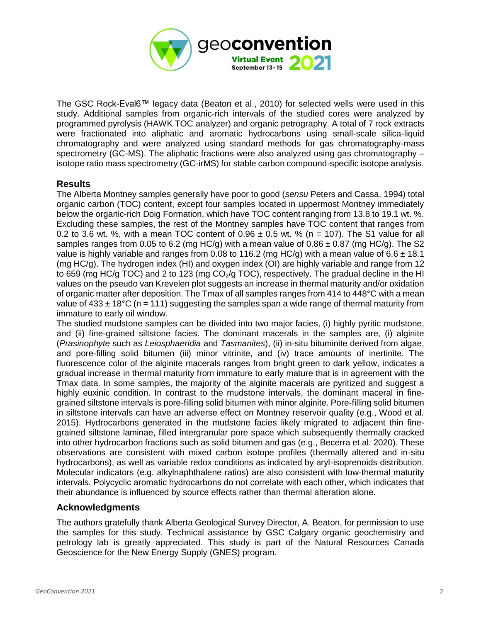

The GSC Rock-Eval6™ legacy data (Beaton et al., 2010) for selected wells were used in this study. Additional samples from organic-rich intervals of the studied cores were analyzed by programmed pyrolysis (HAWK TOC analyzer) and organic petrography. A total of 7 rock extracts were fractionated into aliphatic and aromatic hydrocarbons using small-scale silica-liquid chromatography and were analyzed using standard methods for gas chromatography-mass spectrometry (GC-MS). The aliphatic fractions were also analyzed using gas chromatography – isotope ratio mass spectrometry (GC-irMS) for stable carbon compound-specific isotope analysis.

### **Results**

The Alberta Montney samples generally have poor to good (*sensu* Peters and Cassa, 1994) total organic carbon (TOC) content, except four samples located in uppermost Montney immediately below the organic-rich Doig Formation, which have TOC content ranging from 13.8 to 19.1 wt. %. Excluding these samples, the rest of the Montney samples have TOC content that ranges from 0.2 to 3.6 wt. %, with a mean TOC content of  $0.96 \pm 0.5$  wt. % (n = 107). The S1 value for all samples ranges from 0.05 to 6.2 (mg HC/g) with a mean value of  $0.86 \pm 0.87$  (mg HC/g). The S2 value is highly variable and ranges from 0.08 to 116.2 (mg HC/g) with a mean value of  $6.6 \pm 18.1$ (mg HC/g). The hydrogen index (HI) and oxygen index (OI) are highly variable and range from 12 to 659 (mg HC/g TOC) and 2 to 123 (mg  $CO<sub>2</sub>/g$  TOC), respectively. The gradual decline in the HI values on the pseudo van Krevelen plot suggests an increase in thermal maturity and/or oxidation of organic matter after deposition. The Tmax of all samples ranges from 414 to 448°C with a mean value of  $433 \pm 18^{\circ}$ C (n = 111) suggesting the samples span a wide range of thermal maturity from immature to early oil window.

The studied mudstone samples can be divided into two major facies, (i) highly pyritic mudstone, and (ii) fine-grained siltstone facies. The dominant macerals in the samples are, (i) alginite (*Prasinophyte* such as *Leiosphaeridia* and *Tasmanites*), (ii) in-situ bituminite derived from algae, and pore-filling solid bitumen (iii) minor vitrinite, and (iv) trace amounts of inertinite. The fluorescence color of the alginite macerals ranges from bright green to dark yellow, indicates a gradual increase in thermal maturity from immature to early mature that is in agreement with the Tmax data. In some samples, the majority of the alginite macerals are pyritized and suggest a highly euxinic condition. In contrast to the mudstone intervals, the dominant maceral in finegrained siltstone intervals is pore-filling solid bitumen with minor alginite. Pore-filling solid bitumen in siltstone intervals can have an adverse effect on Montney reservoir quality (e.g., Wood et al. 2015). Hydrocarbons generated in the mudstone facies likely migrated to adjacent thin finegrained siltstone laminae, filled intergranular pore space which subsequently thermally cracked into other hydrocarbon fractions such as solid bitumen and gas (e.g., Becerra et al. 2020). These observations are consistent with mixed carbon isotope profiles (thermally altered and in-situ hydrocarbons), as well as variable redox conditions as indicated by aryl-isoprenoids distribution. Molecular indicators (e.g. alkylnaphthalene ratios) are also consistent with low-thermal maturity intervals. Polycyclic aromatic hydrocarbons do not correlate with each other, which indicates that their abundance is influenced by source effects rather than thermal alteration alone.

### **Acknowledgments**

The authors gratefully thank Alberta Geological Survey Director, A. Beaton, for permission to use the samples for this study. Technical assistance by GSC Calgary organic geochemistry and petrology lab is greatly appreciated. This study is part of the Natural Resources Canada Geoscience for the New Energy Supply (GNES) program.